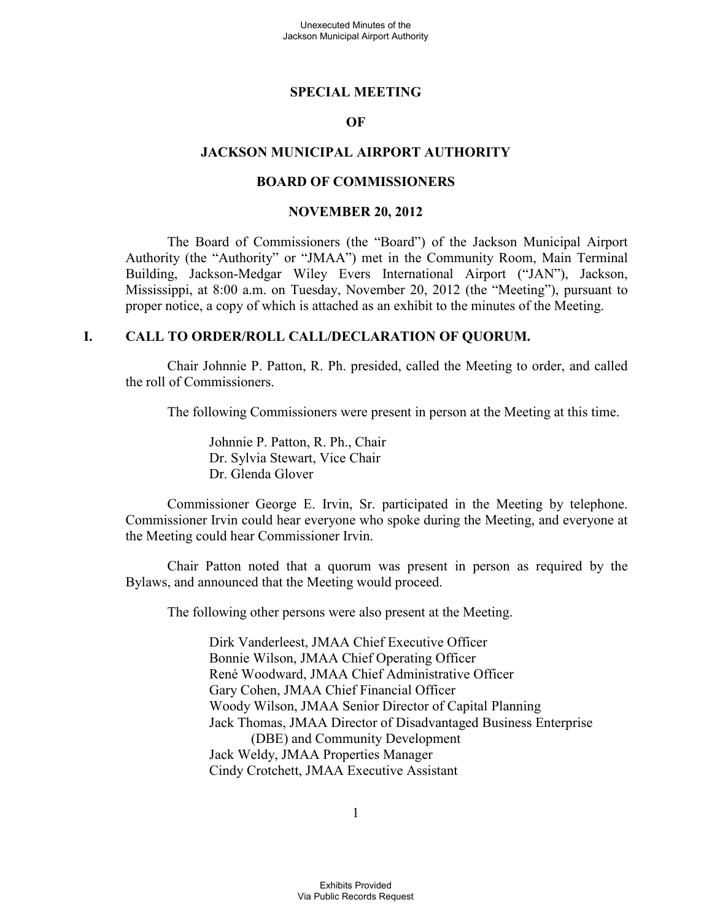#### **SPECIAL MEETING**

#### **OF**

#### **JACKSON MUNICIPAL AIRPORT AUTHORITY**

#### **BOARD OF COMMISSIONERS**

#### **NOVEMBER 20, 2012**

The Board of Commissioners (the "Board") of the Jackson Municipal Airport Authority (the "Authority" or "JMAA") met in the Community Room, Main Terminal Building, Jackson-Medgar Wiley Evers International Airport ("JAN"), Jackson, Mississippi, at 8:00 a.m. on Tuesday, November 20, 2012 (the "Meeting"), pursuant to proper notice, a copy of which is attached as an exhibit to the minutes of the Meeting.

#### **I. CALL TO ORDER/ROLL CALL/DECLARATION OF QUORUM.**

Chair Johnnie P. Patton, R. Ph. presided, called the Meeting to order, and called the roll of Commissioners.

The following Commissioners were present in person at the Meeting at this time.

Johnnie P. Patton, R. Ph., Chair Dr. Sylvia Stewart, Vice Chair Dr. Glenda Glover

Commissioner George E. Irvin, Sr. participated in the Meeting by telephone. Commissioner Irvin could hear everyone who spoke during the Meeting, and everyone at the Meeting could hear Commissioner Irvin.

Chair Patton noted that a quorum was present in person as required by the Bylaws, and announced that the Meeting would proceed.

The following other persons were also present at the Meeting.

Dirk Vanderleest, JMAA Chief Executive Officer Bonnie Wilson, JMAA Chief Operating Officer René Woodward, JMAA Chief Administrative Officer Gary Cohen, JMAA Chief Financial Officer Woody Wilson, JMAA Senior Director of Capital Planning Jack Thomas, JMAA Director of Disadvantaged Business Enterprise (DBE) and Community Development Jack Weldy, JMAA Properties Manager Cindy Crotchett, JMAA Executive Assistant

1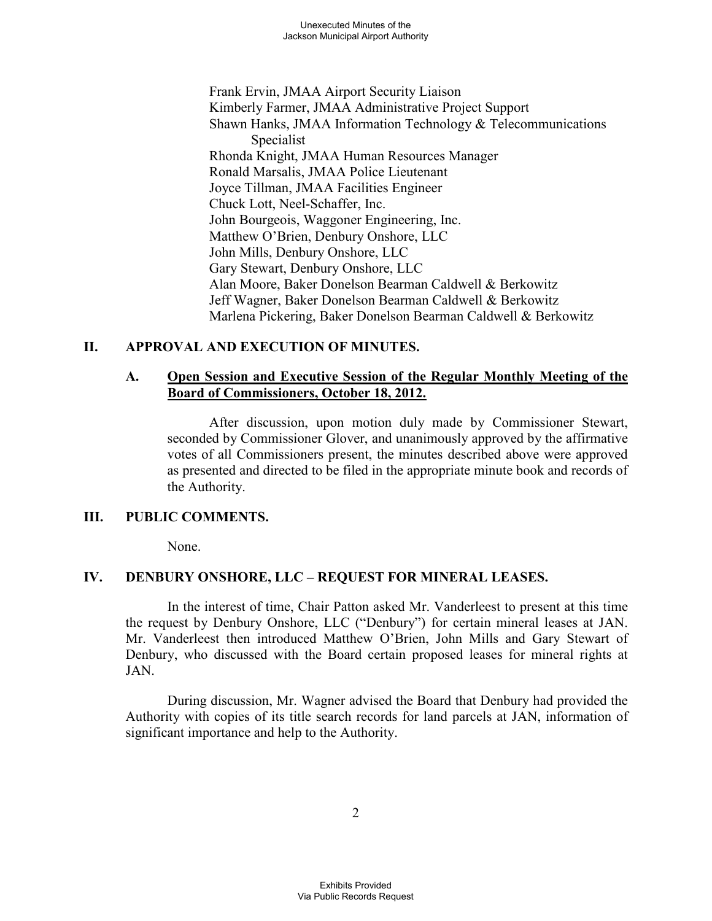Frank Ervin, JMAA Airport Security Liaison Kimberly Farmer, JMAA Administrative Project Support Shawn Hanks, JMAA Information Technology & Telecommunications Specialist Rhonda Knight, JMAA Human Resources Manager Ronald Marsalis, JMAA Police Lieutenant Joyce Tillman, JMAA Facilities Engineer Chuck Lott, Neel-Schaffer, Inc. John Bourgeois, Waggoner Engineering, Inc. Matthew O'Brien, Denbury Onshore, LLC John Mills, Denbury Onshore, LLC Gary Stewart, Denbury Onshore, LLC Alan Moore, Baker Donelson Bearman Caldwell & Berkowitz Jeff Wagner, Baker Donelson Bearman Caldwell & Berkowitz Marlena Pickering, Baker Donelson Bearman Caldwell & Berkowitz

#### **II. APPROVAL AND EXECUTION OF MINUTES.**

#### **A. Open Session and Executive Session of the Regular Monthly Meeting of the Board of Commissioners, October 18, 2012.**

After discussion, upon motion duly made by Commissioner Stewart, seconded by Commissioner Glover, and unanimously approved by the affirmative votes of all Commissioners present, the minutes described above were approved as presented and directed to be filed in the appropriate minute book and records of the Authority.

#### **III. PUBLIC COMMENTS.**

None.

## **IV. DENBURY ONSHORE, LLC – REQUEST FOR MINERAL LEASES.**

In the interest of time, Chair Patton asked Mr. Vanderleest to present at this time the request by Denbury Onshore, LLC ("Denbury") for certain mineral leases at JAN. Mr. Vanderleest then introduced Matthew O'Brien, John Mills and Gary Stewart of Denbury, who discussed with the Board certain proposed leases for mineral rights at JAN.

During discussion, Mr. Wagner advised the Board that Denbury had provided the Authority with copies of its title search records for land parcels at JAN, information of significant importance and help to the Authority.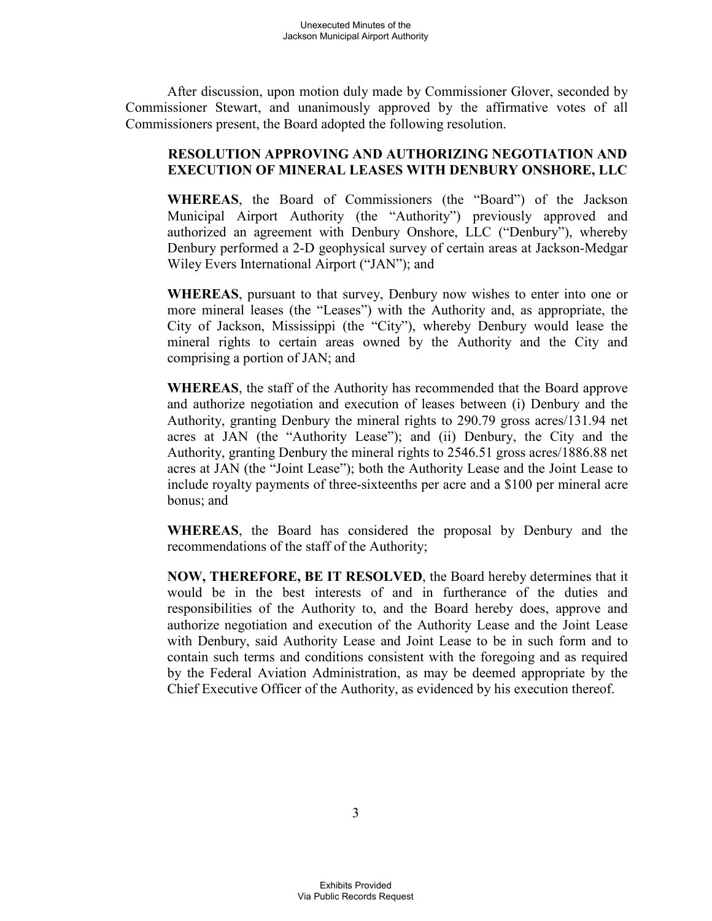After discussion, upon motion duly made by Commissioner Glover, seconded by Commissioner Stewart, and unanimously approved by the affirmative votes of all Commissioners present, the Board adopted the following resolution.

#### **RESOLUTION APPROVING AND AUTHORIZING NEGOTIATION AND EXECUTION OF MINERAL LEASES WITH DENBURY ONSHORE, LLC**

**WHEREAS**, the Board of Commissioners (the "Board") of the Jackson Municipal Airport Authority (the "Authority") previously approved and authorized an agreement with Denbury Onshore, LLC ("Denbury"), whereby Denbury performed a 2-D geophysical survey of certain areas at Jackson-Medgar Wiley Evers International Airport ("JAN"); and

**WHEREAS**, pursuant to that survey, Denbury now wishes to enter into one or more mineral leases (the "Leases") with the Authority and, as appropriate, the City of Jackson, Mississippi (the "City"), whereby Denbury would lease the mineral rights to certain areas owned by the Authority and the City and comprising a portion of JAN; and

**WHEREAS**, the staff of the Authority has recommended that the Board approve and authorize negotiation and execution of leases between (i) Denbury and the Authority, granting Denbury the mineral rights to 290.79 gross acres/131.94 net acres at JAN (the "Authority Lease"); and (ii) Denbury, the City and the Authority, granting Denbury the mineral rights to 2546.51 gross acres/1886.88 net acres at JAN (the "Joint Lease"); both the Authority Lease and the Joint Lease to include royalty payments of three-sixteenths per acre and a \$100 per mineral acre bonus; and

**WHEREAS**, the Board has considered the proposal by Denbury and the recommendations of the staff of the Authority;

**NOW, THEREFORE, BE IT RESOLVED**, the Board hereby determines that it would be in the best interests of and in furtherance of the duties and responsibilities of the Authority to, and the Board hereby does, approve and authorize negotiation and execution of the Authority Lease and the Joint Lease with Denbury, said Authority Lease and Joint Lease to be in such form and to contain such terms and conditions consistent with the foregoing and as required by the Federal Aviation Administration, as may be deemed appropriate by the Chief Executive Officer of the Authority, as evidenced by his execution thereof.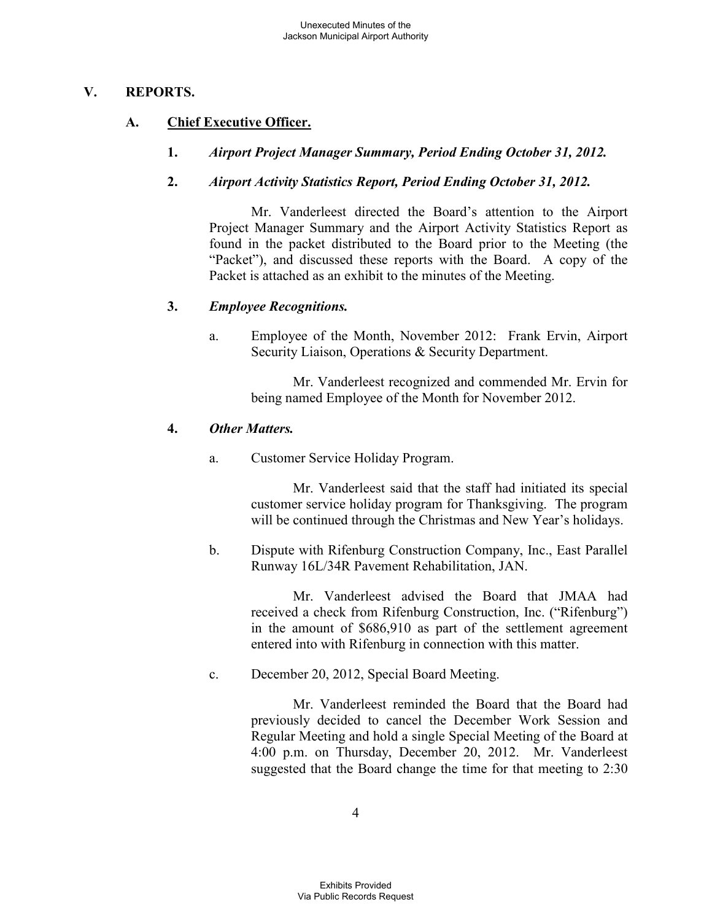#### **V. REPORTS.**

## **A. Chief Executive Officer.**

**1.** *Airport Project Manager Summary, Period Ending October 31, 2012.* 

## **2.** *Airport Activity Statistics Report, Period Ending October 31, 2012.*

Mr. Vanderleest directed the Board's attention to the Airport Project Manager Summary and the Airport Activity Statistics Report as found in the packet distributed to the Board prior to the Meeting (the "Packet"), and discussed these reports with the Board. A copy of the Packet is attached as an exhibit to the minutes of the Meeting.

## **3.** *Employee Recognitions.*

a. Employee of the Month, November 2012: Frank Ervin, Airport Security Liaison, Operations & Security Department.

Mr. Vanderleest recognized and commended Mr. Ervin for being named Employee of the Month for November 2012.

#### **4.** *Other Matters.*

a. Customer Service Holiday Program.

Mr. Vanderleest said that the staff had initiated its special customer service holiday program for Thanksgiving. The program will be continued through the Christmas and New Year's holidays.

b. Dispute with Rifenburg Construction Company, Inc., East Parallel Runway 16L/34R Pavement Rehabilitation, JAN.

> Mr. Vanderleest advised the Board that JMAA had received a check from Rifenburg Construction, Inc. ("Rifenburg") in the amount of \$686,910 as part of the settlement agreement entered into with Rifenburg in connection with this matter.

c. December 20, 2012, Special Board Meeting.

Mr. Vanderleest reminded the Board that the Board had previously decided to cancel the December Work Session and Regular Meeting and hold a single Special Meeting of the Board at 4:00 p.m. on Thursday, December 20, 2012. Mr. Vanderleest suggested that the Board change the time for that meeting to 2:30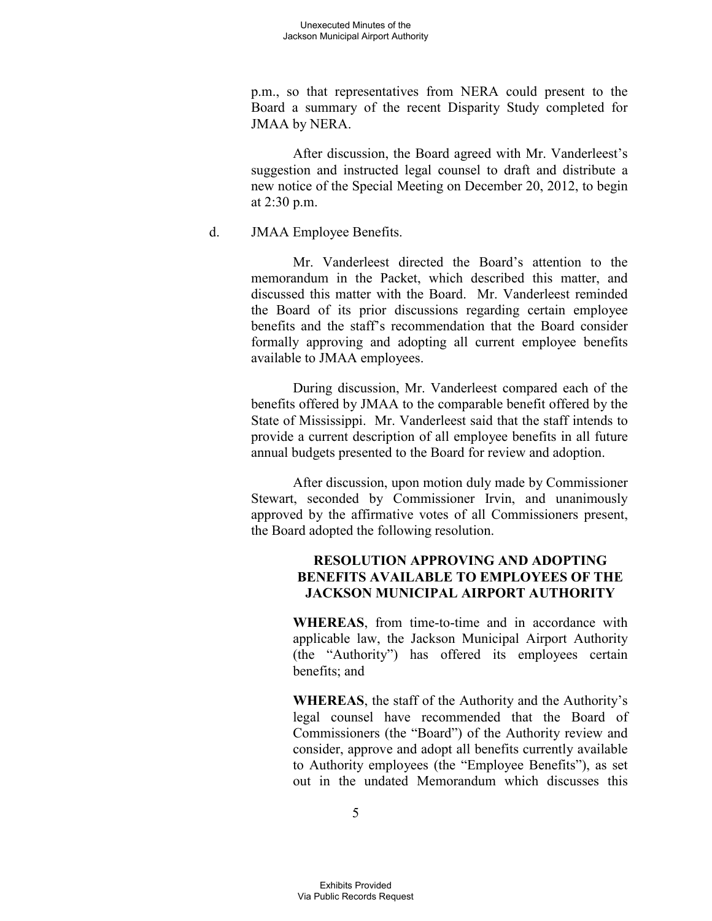p.m., so that representatives from NERA could present to the Board a summary of the recent Disparity Study completed for JMAA by NERA.

After discussion, the Board agreed with Mr. Vanderleest's suggestion and instructed legal counsel to draft and distribute a new notice of the Special Meeting on December 20, 2012, to begin at 2:30 p.m.

d. JMAA Employee Benefits.

Mr. Vanderleest directed the Board's attention to the memorandum in the Packet, which described this matter, and discussed this matter with the Board. Mr. Vanderleest reminded the Board of its prior discussions regarding certain employee benefits and the staff's recommendation that the Board consider formally approving and adopting all current employee benefits available to JMAA employees.

During discussion, Mr. Vanderleest compared each of the benefits offered by JMAA to the comparable benefit offered by the State of Mississippi. Mr. Vanderleest said that the staff intends to provide a current description of all employee benefits in all future annual budgets presented to the Board for review and adoption.

After discussion, upon motion duly made by Commissioner Stewart, seconded by Commissioner Irvin, and unanimously approved by the affirmative votes of all Commissioners present, the Board adopted the following resolution.

## **RESOLUTION APPROVING AND ADOPTING BENEFITS AVAILABLE TO EMPLOYEES OF THE JACKSON MUNICIPAL AIRPORT AUTHORITY**

**WHEREAS**, from time-to-time and in accordance with applicable law, the Jackson Municipal Airport Authority (the "Authority") has offered its employees certain benefits; and

**WHEREAS**, the staff of the Authority and the Authority's legal counsel have recommended that the Board of Commissioners (the "Board") of the Authority review and consider, approve and adopt all benefits currently available to Authority employees (the "Employee Benefits"), as set out in the undated Memorandum which discusses this

5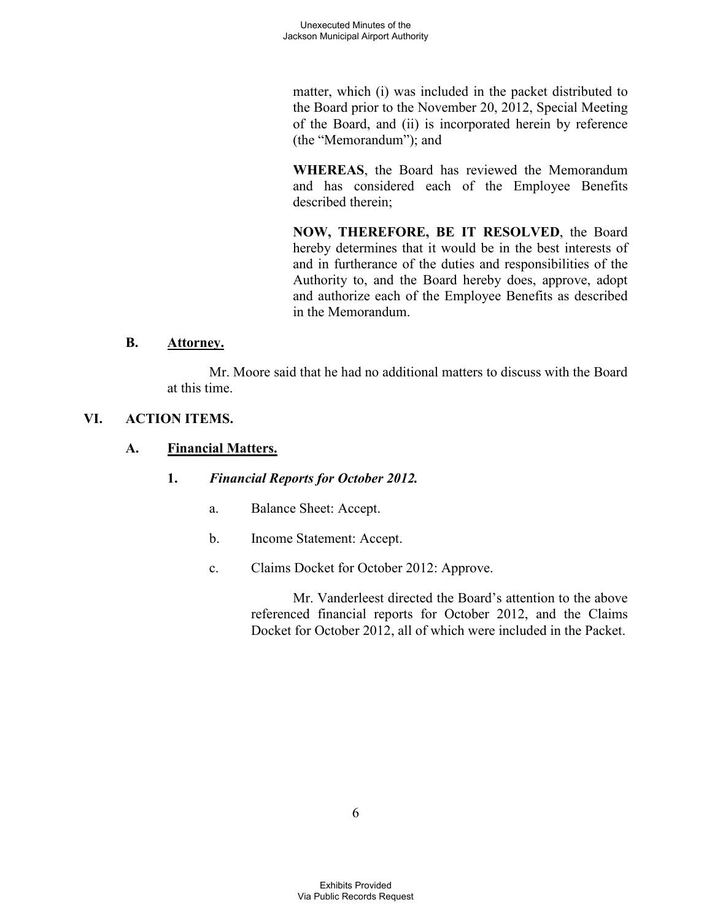matter, which (i) was included in the packet distributed to the Board prior to the November 20, 2012, Special Meeting of the Board, and (ii) is incorporated herein by reference (the "Memorandum"); and

**WHEREAS**, the Board has reviewed the Memorandum and has considered each of the Employee Benefits described therein;

**NOW, THEREFORE, BE IT RESOLVED**, the Board hereby determines that it would be in the best interests of and in furtherance of the duties and responsibilities of the Authority to, and the Board hereby does, approve, adopt and authorize each of the Employee Benefits as described in the Memorandum.

#### **B. Attorney.**

Mr. Moore said that he had no additional matters to discuss with the Board at this time.

## **VI. ACTION ITEMS.**

## **A. Financial Matters.**

## **1.** *Financial Reports for October 2012.*

- a. Balance Sheet: Accept.
- b. Income Statement: Accept.
- c. Claims Docket for October 2012: Approve.

Mr. Vanderleest directed the Board's attention to the above referenced financial reports for October 2012, and the Claims Docket for October 2012, all of which were included in the Packet.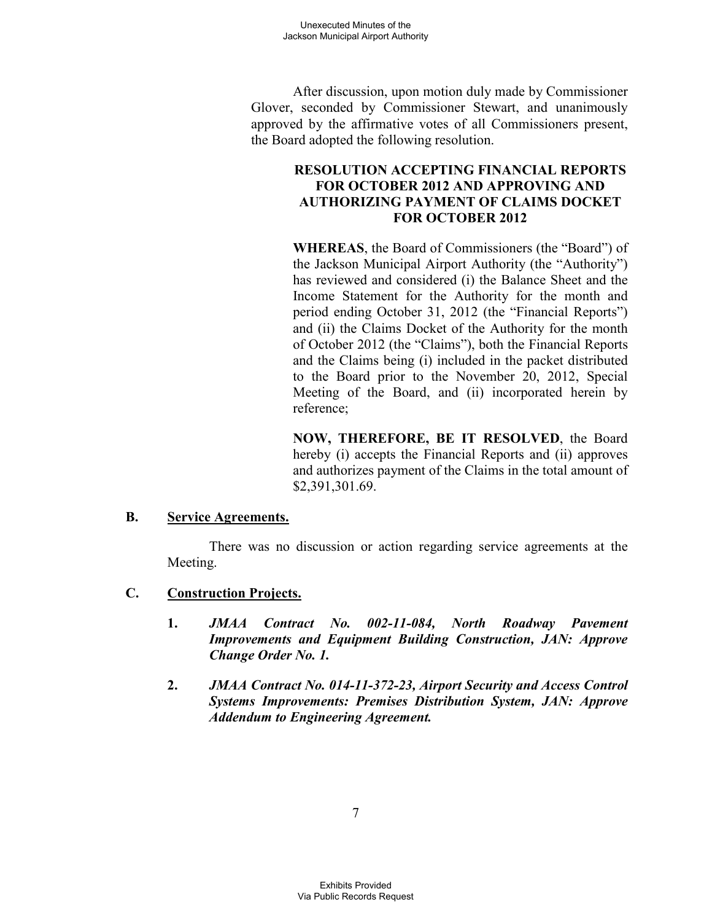After discussion, upon motion duly made by Commissioner Glover, seconded by Commissioner Stewart, and unanimously approved by the affirmative votes of all Commissioners present, the Board adopted the following resolution.

## **RESOLUTION ACCEPTING FINANCIAL REPORTS FOR OCTOBER 2012 AND APPROVING AND AUTHORIZING PAYMENT OF CLAIMS DOCKET FOR OCTOBER 2012**

**WHEREAS**, the Board of Commissioners (the "Board") of the Jackson Municipal Airport Authority (the "Authority") has reviewed and considered (i) the Balance Sheet and the Income Statement for the Authority for the month and period ending October 31, 2012 (the "Financial Reports") and (ii) the Claims Docket of the Authority for the month of October 2012 (the "Claims"), both the Financial Reports and the Claims being (i) included in the packet distributed to the Board prior to the November 20, 2012, Special Meeting of the Board, and (ii) incorporated herein by reference;

**NOW, THEREFORE, BE IT RESOLVED**, the Board hereby (i) accepts the Financial Reports and (ii) approves and authorizes payment of the Claims in the total amount of \$2,391,301.69.

#### **B. Service Agreements.**

There was no discussion or action regarding service agreements at the Meeting.

- **C. Construction Projects.** 
	- **1.** *JMAA Contract No. 002-11-084, North Roadway Pavement Improvements and Equipment Building Construction, JAN: Approve Change Order No. 1.*
	- **2.** *JMAA Contract No. 014-11-372-23, Airport Security and Access Control Systems Improvements: Premises Distribution System, JAN: Approve Addendum to Engineering Agreement.*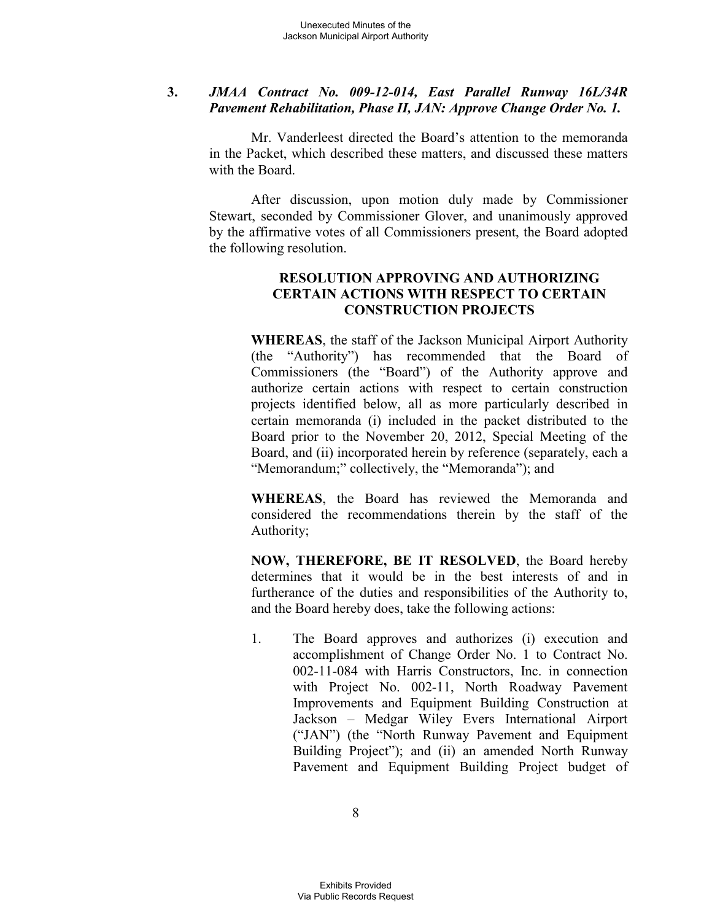#### **3.** *JMAA Contract No. 009-12-014, East Parallel Runway 16L/34R Pavement Rehabilitation, Phase II, JAN: Approve Change Order No. 1.*

Mr. Vanderleest directed the Board's attention to the memoranda in the Packet, which described these matters, and discussed these matters with the Board.

After discussion, upon motion duly made by Commissioner Stewart, seconded by Commissioner Glover, and unanimously approved by the affirmative votes of all Commissioners present, the Board adopted the following resolution.

#### **RESOLUTION APPROVING AND AUTHORIZING CERTAIN ACTIONS WITH RESPECT TO CERTAIN CONSTRUCTION PROJECTS**

**WHEREAS**, the staff of the Jackson Municipal Airport Authority (the "Authority") has recommended that the Board of Commissioners (the "Board") of the Authority approve and authorize certain actions with respect to certain construction projects identified below, all as more particularly described in certain memoranda (i) included in the packet distributed to the Board prior to the November 20, 2012, Special Meeting of the Board, and (ii) incorporated herein by reference (separately, each a "Memorandum;" collectively, the "Memoranda"); and

**WHEREAS**, the Board has reviewed the Memoranda and considered the recommendations therein by the staff of the Authority;

**NOW, THEREFORE, BE IT RESOLVED**, the Board hereby determines that it would be in the best interests of and in furtherance of the duties and responsibilities of the Authority to, and the Board hereby does, take the following actions:

1. The Board approves and authorizes (i) execution and accomplishment of Change Order No. 1 to Contract No. 002-11-084 with Harris Constructors, Inc. in connection with Project No. 002-11, North Roadway Pavement Improvements and Equipment Building Construction at Jackson – Medgar Wiley Evers International Airport ("JAN") (the "North Runway Pavement and Equipment Building Project"); and (ii) an amended North Runway Pavement and Equipment Building Project budget of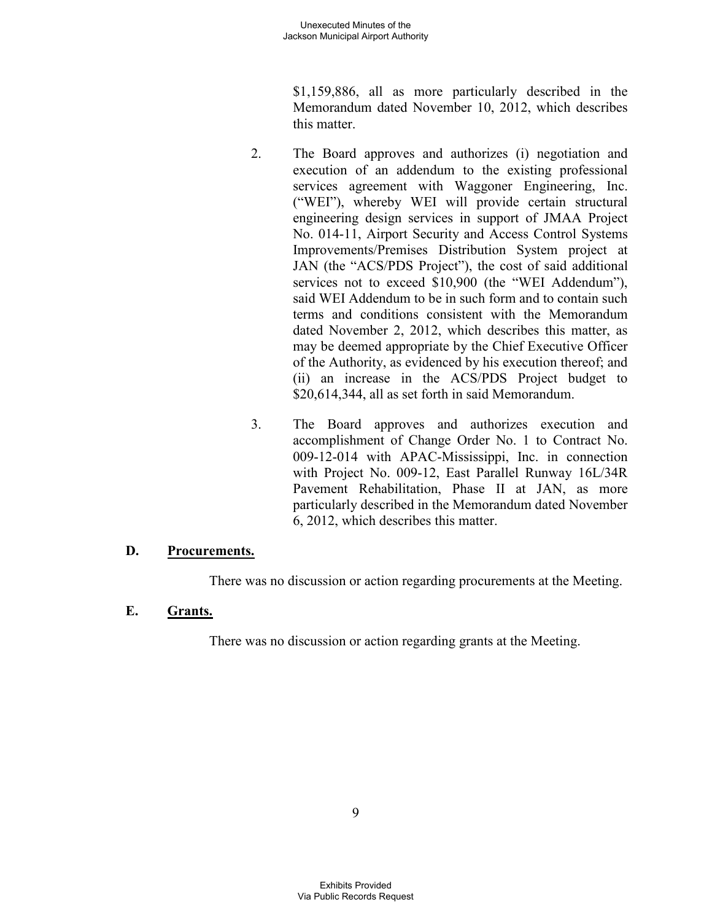\$1,159,886, all as more particularly described in the Memorandum dated November 10, 2012, which describes this matter.

- 2. The Board approves and authorizes (i) negotiation and execution of an addendum to the existing professional services agreement with Waggoner Engineering, Inc. ("WEI"), whereby WEI will provide certain structural engineering design services in support of JMAA Project No. 014-11, Airport Security and Access Control Systems Improvements/Premises Distribution System project at JAN (the "ACS/PDS Project"), the cost of said additional services not to exceed \$10,900 (the "WEI Addendum"), said WEI Addendum to be in such form and to contain such terms and conditions consistent with the Memorandum dated November 2, 2012, which describes this matter, as may be deemed appropriate by the Chief Executive Officer of the Authority, as evidenced by his execution thereof; and (ii) an increase in the ACS/PDS Project budget to \$20,614,344, all as set forth in said Memorandum.
- 3. The Board approves and authorizes execution and accomplishment of Change Order No. 1 to Contract No. 009-12-014 with APAC-Mississippi, Inc. in connection with Project No. 009-12, East Parallel Runway 16L/34R Pavement Rehabilitation, Phase II at JAN, as more particularly described in the Memorandum dated November 6, 2012, which describes this matter.

## **D. Procurements.**

There was no discussion or action regarding procurements at the Meeting.

## **E. Grants.**

There was no discussion or action regarding grants at the Meeting.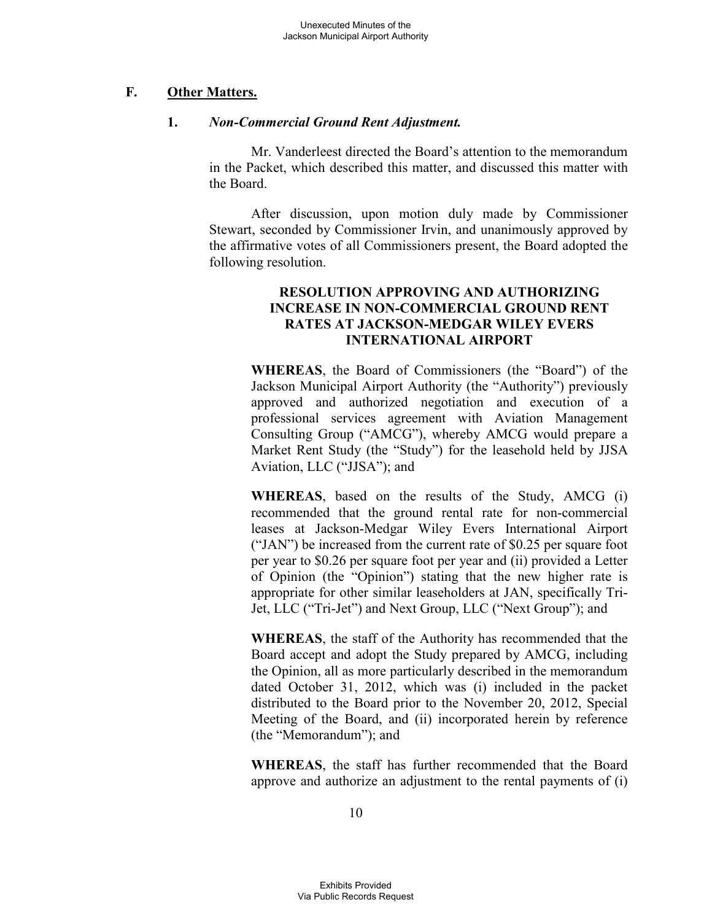## **F. Other Matters.**

#### **1.** *Non-Commercial Ground Rent Adjustment.*

Mr. Vanderleest directed the Board's attention to the memorandum in the Packet, which described this matter, and discussed this matter with the Board.

After discussion, upon motion duly made by Commissioner Stewart, seconded by Commissioner Irvin, and unanimously approved by the affirmative votes of all Commissioners present, the Board adopted the following resolution.

#### **RESOLUTION APPROVING AND AUTHORIZING INCREASE IN NON-COMMERCIAL GROUND RENT RATES AT JACKSON-MEDGAR WILEY EVERS INTERNATIONAL AIRPORT**

**WHEREAS**, the Board of Commissioners (the "Board") of the Jackson Municipal Airport Authority (the "Authority") previously approved and authorized negotiation and execution of a professional services agreement with Aviation Management Consulting Group ("AMCG"), whereby AMCG would prepare a Market Rent Study (the "Study") for the leasehold held by JJSA Aviation, LLC ("JJSA"); and

**WHEREAS**, based on the results of the Study, AMCG (i) recommended that the ground rental rate for non-commercial leases at Jackson-Medgar Wiley Evers International Airport ("JAN") be increased from the current rate of \$0.25 per square foot per year to \$0.26 per square foot per year and (ii) provided a Letter of Opinion (the "Opinion") stating that the new higher rate is appropriate for other similar leaseholders at JAN, specifically Tri-Jet, LLC ("Tri-Jet") and Next Group, LLC ("Next Group"); and

**WHEREAS**, the staff of the Authority has recommended that the Board accept and adopt the Study prepared by AMCG, including the Opinion, all as more particularly described in the memorandum dated October 31, 2012, which was (i) included in the packet distributed to the Board prior to the November 20, 2012, Special Meeting of the Board, and (ii) incorporated herein by reference (the "Memorandum"); and

**WHEREAS**, the staff has further recommended that the Board approve and authorize an adjustment to the rental payments of (i)

10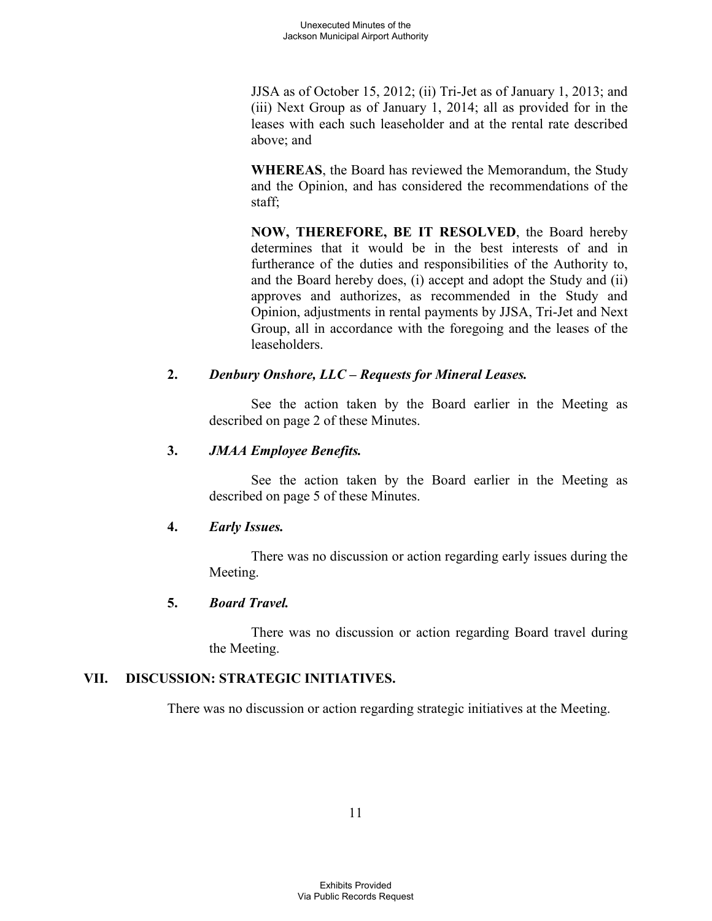JJSA as of October 15, 2012; (ii) Tri-Jet as of January 1, 2013; and (iii) Next Group as of January 1, 2014; all as provided for in the leases with each such leaseholder and at the rental rate described above; and

**WHEREAS**, the Board has reviewed the Memorandum, the Study and the Opinion, and has considered the recommendations of the staff;

**NOW, THEREFORE, BE IT RESOLVED**, the Board hereby determines that it would be in the best interests of and in furtherance of the duties and responsibilities of the Authority to, and the Board hereby does, (i) accept and adopt the Study and (ii) approves and authorizes, as recommended in the Study and Opinion, adjustments in rental payments by JJSA, Tri-Jet and Next Group, all in accordance with the foregoing and the leases of the leaseholders.

# **2.** *Denbury Onshore, LLC – Requests for Mineral Leases.*

See the action taken by the Board earlier in the Meeting as described on page 2 of these Minutes.

## **3.** *JMAA Employee Benefits.*

See the action taken by the Board earlier in the Meeting as described on page 5 of these Minutes.

## **4.** *Early Issues.*

There was no discussion or action regarding early issues during the Meeting.

# **5.** *Board Travel.*

There was no discussion or action regarding Board travel during the Meeting.

# **VII. DISCUSSION: STRATEGIC INITIATIVES.**

There was no discussion or action regarding strategic initiatives at the Meeting.